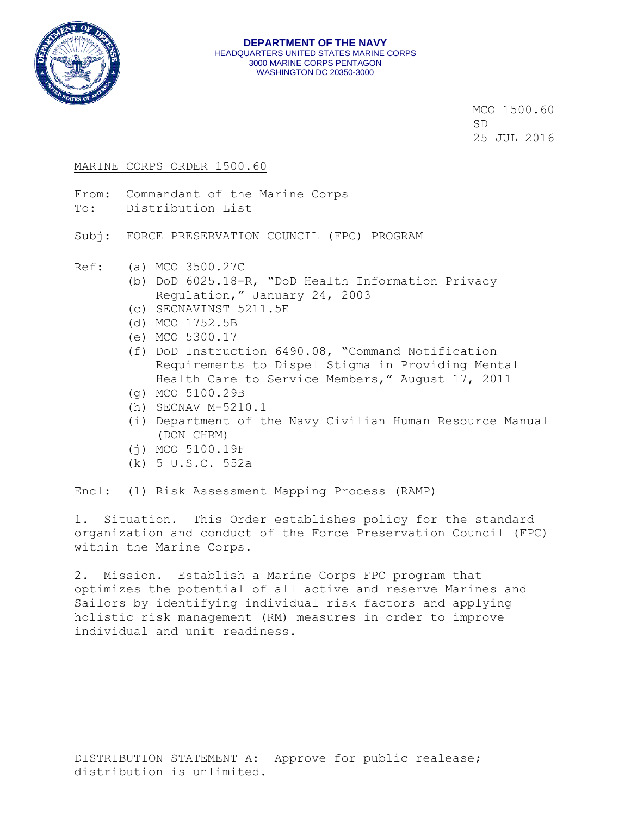

MCO 1500.60 SD 25 JUL 2016

#### MARINE CORPS ORDER 1500.60

- From: Commandant of the Marine Corps
- To: Distribution List

Subj: FORCE PRESERVATION COUNCIL (FPC) PROGRAM

- Ref: (a) MCO 3500.27C
	- (b) DoD 6025.18-R, "DoD Health Information Privacy Regulation," January 24, 2003
	- (c) SECNAVINST 5211.5E
	- (d) MCO 1752.5B
	- (e) MCO 5300.17
	- (f) DoD Instruction 6490.08, "Command Notification Requirements to Dispel Stigma in Providing Mental Health Care to Service Members," August 17, 2011
	- (g) MCO 5100.29B
	- (h) SECNAV M-5210.1
	- (i) Department of the Navy Civilian Human Resource Manual (DON CHRM)
	- (j) MCO 5100.19F
	- (k) 5 U.S.C. 552a

Encl: (1) Risk Assessment Mapping Process (RAMP)

1. Situation. This Order establishes policy for the standard organization and conduct of the Force Preservation Council (FPC) within the Marine Corps.

2. Mission. Establish a Marine Corps FPC program that optimizes the potential of all active and reserve Marines and Sailors by identifying individual risk factors and applying holistic risk management (RM) measures in order to improve individual and unit readiness.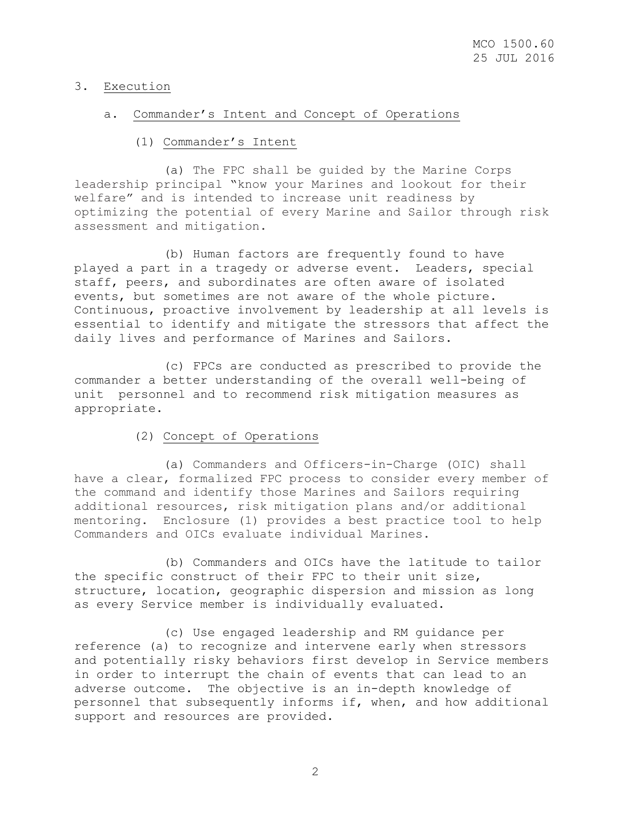# 3. Execution

### a. Commander's Intent and Concept of Operations

# (1) Commander's Intent

 (a) The FPC shall be guided by the Marine Corps leadership principal "know your Marines and lookout for their welfare" and is intended to increase unit readiness by optimizing the potential of every Marine and Sailor through risk assessment and mitigation.

 (b) Human factors are frequently found to have played a part in a tragedy or adverse event. Leaders, special staff, peers, and subordinates are often aware of isolated events, but sometimes are not aware of the whole picture. Continuous, proactive involvement by leadership at all levels is essential to identify and mitigate the stressors that affect the daily lives and performance of Marines and Sailors.

 (c) FPCs are conducted as prescribed to provide the commander a better understanding of the overall well-being of unit personnel and to recommend risk mitigation measures as appropriate.

# (2) Concept of Operations

 (a) Commanders and Officers-in-Charge (OIC) shall have a clear, formalized FPC process to consider every member of the command and identify those Marines and Sailors requiring additional resources, risk mitigation plans and/or additional mentoring. Enclosure (1) provides a best practice tool to help Commanders and OICs evaluate individual Marines.

 (b) Commanders and OICs have the latitude to tailor the specific construct of their FPC to their unit size, structure, location, geographic dispersion and mission as long as every Service member is individually evaluated.

 (c) Use engaged leadership and RM guidance per reference (a) to recognize and intervene early when stressors and potentially risky behaviors first develop in Service members in order to interrupt the chain of events that can lead to an adverse outcome. The objective is an in-depth knowledge of personnel that subsequently informs if, when, and how additional support and resources are provided.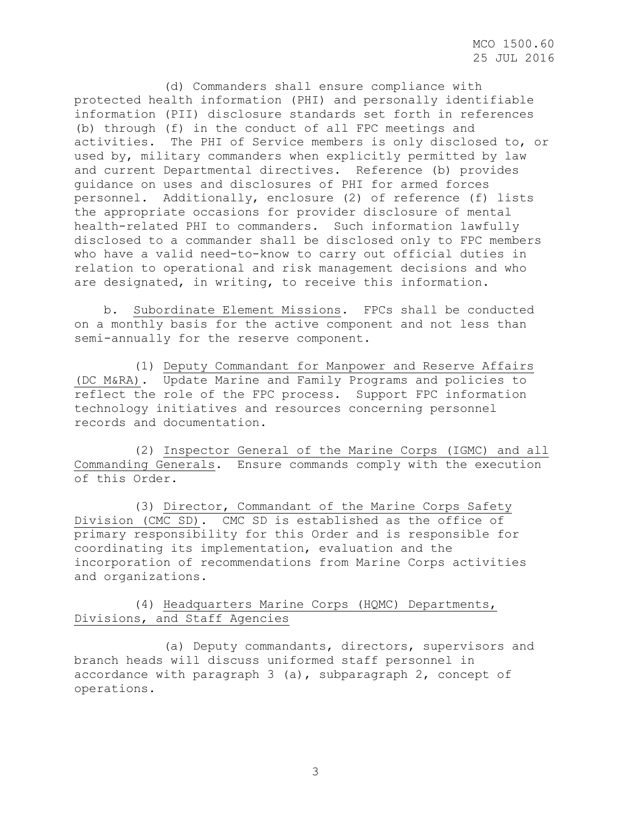MCO 1500.60 25 JUL 2016

 (d) Commanders shall ensure compliance with protected health information (PHI) and personally identifiable information (PII) disclosure standards set forth in references (b) through (f) in the conduct of all FPC meetings and activities. The PHI of Service members is only disclosed to, or used by, military commanders when explicitly permitted by law and current Departmental directives. Reference (b) provides guidance on uses and disclosures of PHI for armed forces personnel. Additionally, enclosure (2) of reference (f) lists the appropriate occasions for provider disclosure of mental health-related PHI to commanders. Such information lawfully disclosed to a commander shall be disclosed only to FPC members who have a valid need-to-know to carry out official duties in relation to operational and risk management decisions and who are designated, in writing, to receive this information.

 b. Subordinate Element Missions. FPCs shall be conducted on a monthly basis for the active component and not less than semi-annually for the reserve component.

 (1) Deputy Commandant for Manpower and Reserve Affairs (DC M&RA). Update Marine and Family Programs and policies to reflect the role of the FPC process. Support FPC information technology initiatives and resources concerning personnel records and documentation.

 (2) Inspector General of the Marine Corps (IGMC) and all Commanding Generals. Ensure commands comply with the execution of this Order.

 (3) Director, Commandant of the Marine Corps Safety Division (CMC SD). CMC SD is established as the office of primary responsibility for this Order and is responsible for coordinating its implementation, evaluation and the incorporation of recommendations from Marine Corps activities and organizations.

# (4) Headquarters Marine Corps (HQMC) Departments, Divisions, and Staff Agencies

 (a) Deputy commandants, directors, supervisors and branch heads will discuss uniformed staff personnel in accordance with paragraph 3 (a), subparagraph 2, concept of operations.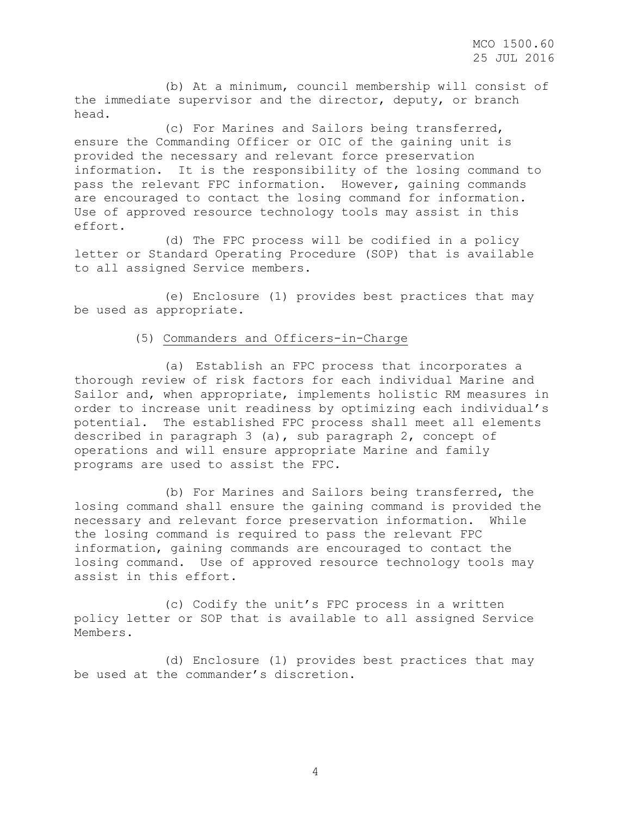MCO 1500.60 25 JUL 2016

 (b) At a minimum, council membership will consist of the immediate supervisor and the director, deputy, or branch head.

 (c) For Marines and Sailors being transferred, ensure the Commanding Officer or OIC of the gaining unit is provided the necessary and relevant force preservation information. It is the responsibility of the losing command to pass the relevant FPC information. However, gaining commands are encouraged to contact the losing command for information. Use of approved resource technology tools may assist in this effort.

 (d) The FPC process will be codified in a policy letter or Standard Operating Procedure (SOP) that is available to all assigned Service members.

 (e) Enclosure (1) provides best practices that may be used as appropriate.

### (5) Commanders and Officers-in-Charge

 (a) Establish an FPC process that incorporates a thorough review of risk factors for each individual Marine and Sailor and, when appropriate, implements holistic RM measures in order to increase unit readiness by optimizing each individual's potential. The established FPC process shall meet all elements described in paragraph 3 (a), sub paragraph 2, concept of operations and will ensure appropriate Marine and family programs are used to assist the FPC.

 (b) For Marines and Sailors being transferred, the losing command shall ensure the gaining command is provided the necessary and relevant force preservation information. While the losing command is required to pass the relevant FPC information, gaining commands are encouraged to contact the losing command. Use of approved resource technology tools may assist in this effort.

 (c) Codify the unit's FPC process in a written policy letter or SOP that is available to all assigned Service Members.

 (d) Enclosure (1) provides best practices that may be used at the commander's discretion.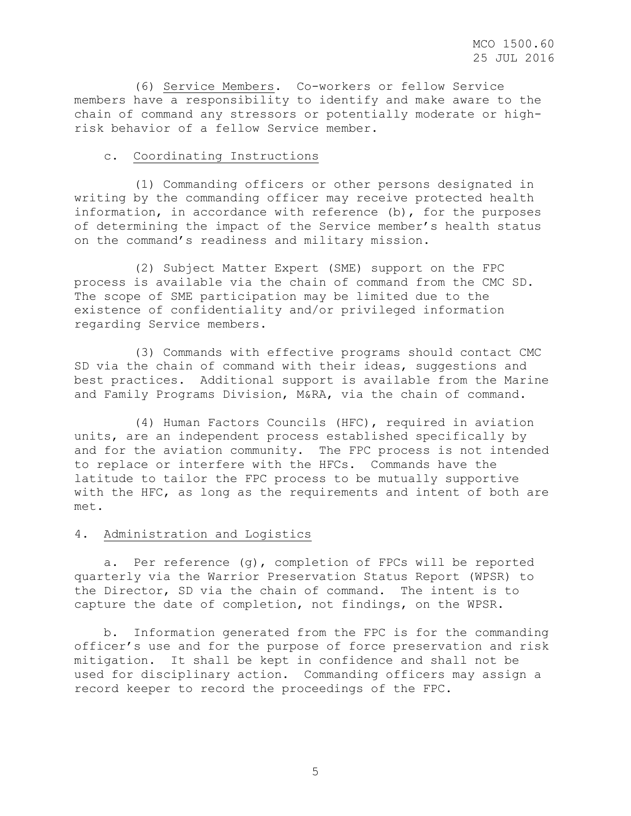(6) Service Members. Co-workers or fellow Service members have a responsibility to identify and make aware to the chain of command any stressors or potentially moderate or highrisk behavior of a fellow Service member.

#### c. Coordinating Instructions

 (1) Commanding officers or other persons designated in writing by the commanding officer may receive protected health information, in accordance with reference (b), for the purposes of determining the impact of the Service member's health status on the command's readiness and military mission.

 (2) Subject Matter Expert (SME) support on the FPC process is available via the chain of command from the CMC SD. The scope of SME participation may be limited due to the existence of confidentiality and/or privileged information regarding Service members.

 (3) Commands with effective programs should contact CMC SD via the chain of command with their ideas, suggestions and best practices. Additional support is available from the Marine and Family Programs Division, M&RA, via the chain of command.

 (4) Human Factors Councils (HFC), required in aviation units, are an independent process established specifically by and for the aviation community. The FPC process is not intended to replace or interfere with the HFCs. Commands have the latitude to tailor the FPC process to be mutually supportive with the HFC, as long as the requirements and intent of both are met.

#### 4. Administration and Logistics

 a. Per reference (g), completion of FPCs will be reported quarterly via the Warrior Preservation Status Report (WPSR) to the Director, SD via the chain of command. The intent is to capture the date of completion, not findings, on the WPSR.

 b. Information generated from the FPC is for the commanding officer's use and for the purpose of force preservation and risk mitigation. It shall be kept in confidence and shall not be used for disciplinary action. Commanding officers may assign a record keeper to record the proceedings of the FPC.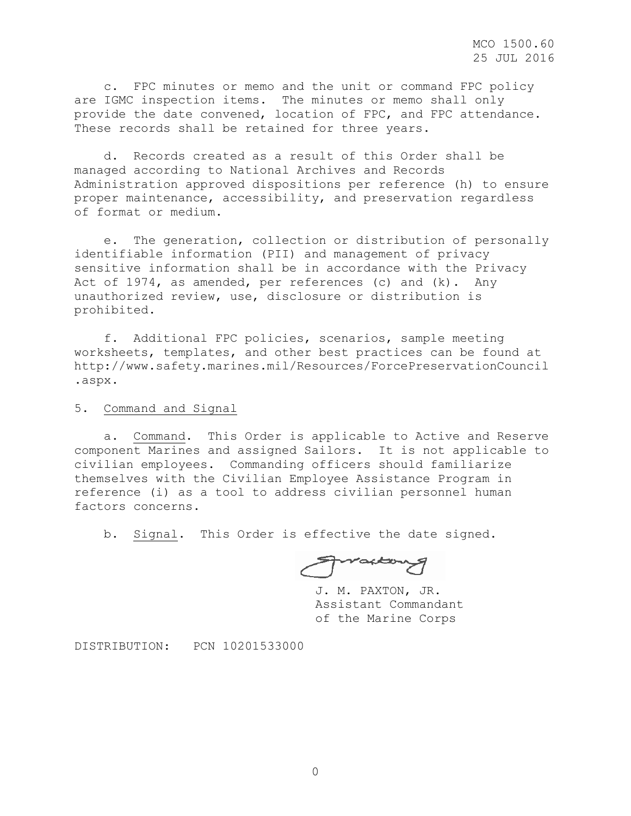c. FPC minutes or memo and the unit or command FPC policy are IGMC inspection items. The minutes or memo shall only provide the date convened, location of FPC, and FPC attendance. These records shall be retained for three years.

 d. Records created as a result of this Order shall be managed according to National Archives and Records Administration approved dispositions per reference (h) to ensure proper maintenance, accessibility, and preservation regardless of format or medium.

 e. The generation, collection or distribution of personally identifiable information (PII) and management of privacy sensitive information shall be in accordance with the Privacy Act of 1974, as amended, per references (c) and (k). Any unauthorized review, use, disclosure or distribution is prohibited.

 f. Additional FPC policies, scenarios, sample meeting worksheets, templates, and other best practices can be found at http://www.safety.marines.mil/Resources/ForcePreservationCouncil .aspx.

5. Command and Signal

 a. Command. This Order is applicable to Active and Reserve component Marines and assigned Sailors. It is not applicable to civilian employees. Commanding officers should familiarize themselves with the Civilian Employee Assistance Program in reference (i) as a tool to address civilian personnel human factors concerns.

b. Signal. This Order is effective the date signed.

Fractory

J. M. PAXTON, JR. Assistant Commandant of the Marine Corps

DISTRIBUTION: PCN 10201533000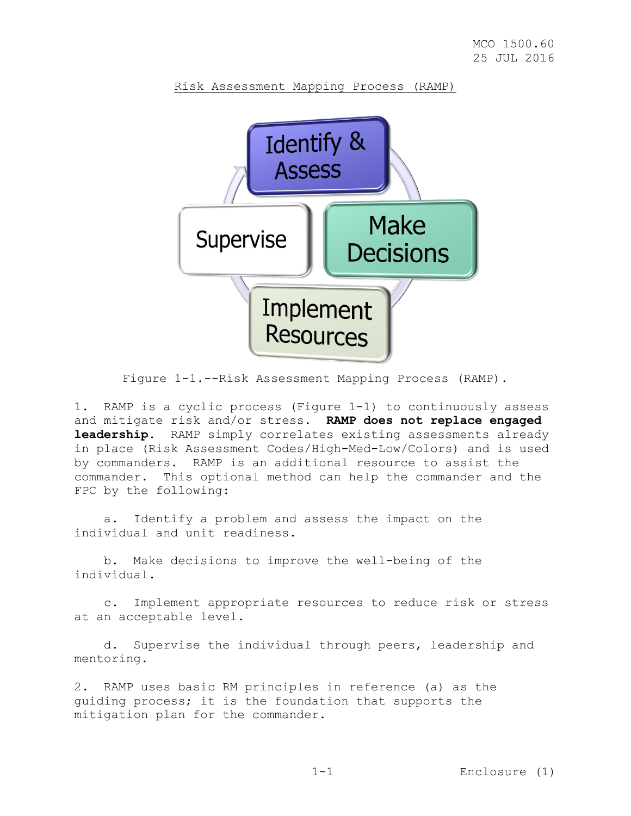



Figure 1-1.--Risk Assessment Mapping Process (RAMP).

1. RAMP is a cyclic process (Figure 1-1) to continuously assess and mitigate risk and/or stress. **RAMP does not replace engaged leadership**. RAMP simply correlates existing assessments already in place (Risk Assessment Codes/High-Med-Low/Colors) and is used by commanders. RAMP is an additional resource to assist the commander. This optional method can help the commander and the FPC by the following:

 a. Identify a problem and assess the impact on the individual and unit readiness.

 b. Make decisions to improve the well-being of the individual.

 c. Implement appropriate resources to reduce risk or stress at an acceptable level.

 d. Supervise the individual through peers, leadership and mentoring.

2. RAMP uses basic RM principles in reference (a) as the guiding process; it is the foundation that supports the mitigation plan for the commander.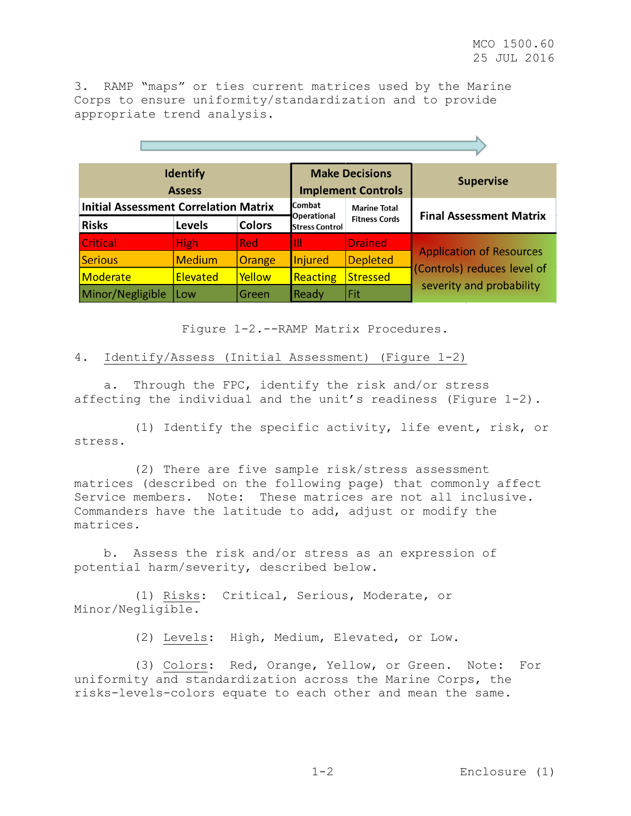3. RAMP "maps" or ties current matrices used by the Marine Corps to ensure uniformity/standardization and to provide appropriate trend analysis.

| <b>Identify</b><br><b>Assess</b>             |               | <b>Make Decisions</b><br><b>Implement Controls</b> |                       | <b>Supervise</b>               |                                 |  |
|----------------------------------------------|---------------|----------------------------------------------------|-----------------------|--------------------------------|---------------------------------|--|
| <b>Initial Assessment Correlation Matrix</b> |               | lCombat<br><b>Operational</b>                      | <b>Marine Total</b>   | <b>Final Assessment Matrix</b> |                                 |  |
| <b>Risks</b>                                 | <b>Levels</b> | <b>Colors</b>                                      | <b>Stress Control</b> | <b>Fitness Cords</b>           |                                 |  |
| <b>Critical</b>                              | <b>High</b>   | <b>Red</b>                                         | Ш                     | <b>Drained</b>                 | <b>Application of Resources</b> |  |
| <b>Serious</b>                               | <b>Medium</b> | Orange                                             | Injured               | <b>Depleted</b>                | (Controls) reduces level of     |  |
| Moderate                                     | Elevated      | Yellow                                             | Reacting              | Stressed                       | severity and probability        |  |
| Minor/Negligible                             | Low           | Green                                              | Ready                 | Fit                            |                                 |  |

Figure 1-2.--RAMP Matrix Procedures.

## 4. Identify/Assess (Initial Assessment) (Figure 1-2)

 a. Through the FPC, identify the risk and/or stress affecting the individual and the unit's readiness (Figure 1-2).

 (1) Identify the specific activity, life event, risk, or stress.

 (2) There are five sample risk/stress assessment matrices (described on the following page) that commonly affect Service members**.** Note**:** These matrices are not all inclusive. Commanders have the latitude to add, adjust or modify the matrices**.**

 b. Assess the risk and/or stress as an expression of potential harm/severity, described below.

 (1) Risks: Critical, Serious, Moderate, or Minor/Negligible.

(2) Levels: High, Medium, Elevated, or Low.

 (3) Colors: Red, Orange, Yellow, or Green**.** Note**:** For uniformity and standardization across the Marine Corps, the risks-levels-colors equate to each other and mean the same**.**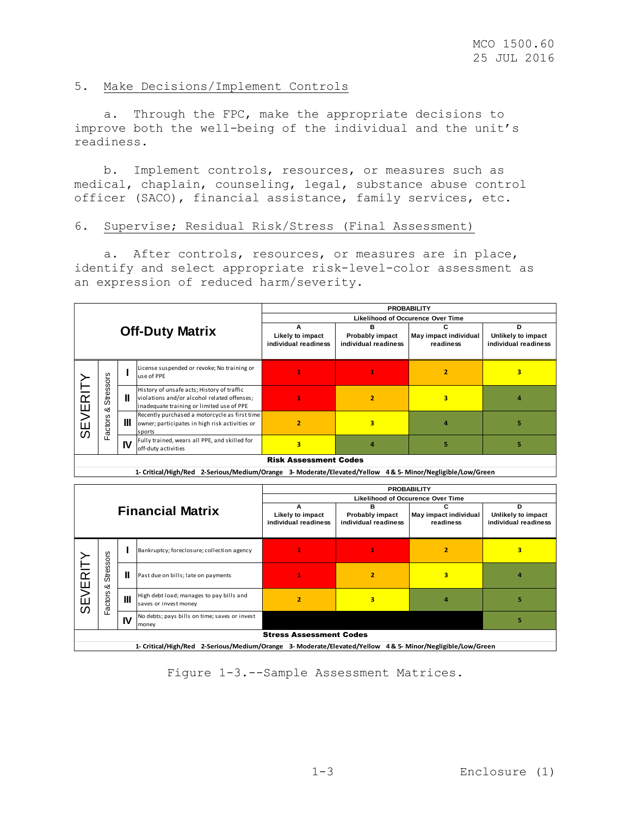# 5. Make Decisions/Implement Controls

 a. Through the FPC, make the appropriate decisions to improve both the well-being of the individual and the unit's readiness.

 b. Implement controls, resources, or measures such as medical, chaplain, counseling, legal, substance abuse control officer (SACO), financial assistance, family services, etc.

### 6. Supervise; Residual Risk/Stress (Final Assessment)

 a. After controls, resources, or measures are in place, identify and select appropriate risk-level-color assessment as an expression of reduced harm/severity.

|                                    |                       |                                               |                                                                                                                                        | <b>PROBABILITY</b>                 |                                            |                |   |  |
|------------------------------------|-----------------------|-----------------------------------------------|----------------------------------------------------------------------------------------------------------------------------------------|------------------------------------|--------------------------------------------|----------------|---|--|
|                                    |                       |                                               | <b>Likelihood of Occurence Over Time</b>                                                                                               |                                    |                                            |                |   |  |
| <b>Off-Duty Matrix</b>             |                       | А<br>Likely to impact<br>individual readiness | в<br>Probably impact<br>individual readiness                                                                                           | May impact individual<br>readiness | Unlikely to impact<br>individual readiness |                |   |  |
|                                    |                       |                                               | License suspended or revoke; No training or<br>use of PPE                                                                              |                                    |                                            | $\overline{2}$ | з |  |
| ERIT                               | <b>Stressors</b><br>య | Ш                                             | History of unsafe acts; History of traffic<br>violations and/or alcohol related offenses;<br>inadequate training or limited use of PPE |                                    | 2                                          | з              |   |  |
| $\geq$<br>ш<br>$\overline{\omega}$ | ctors<br>σ            | Ш                                             | Recently purchased a motorcycle as first time<br>owner; participates in high risk activities or<br>sports                              | 2                                  | 3                                          |                |   |  |
|                                    | L.                    | IV                                            | Fully trained, wears all PPE, and skilled for<br>off-duty activities                                                                   | з                                  |                                            |                |   |  |
| <b>Risk Assessment Codes</b>       |                       |                                               |                                                                                                                                        |                                    |                                            |                |   |  |

**1- Critical/High/Red 2-Serious/Medium/Orange 3- Moderate/Elevated/Yellow 4 & 5- Minor/Negligible/Low/Green 2-Serious/Medium/Orange Moderate/Elevated/Yellow & 5- Minor/Negligible/Low/Green**

|         |                                                                                                              | <b>PROBABILITY</b> |                                                                   |                                          |                                         |                                    |                                            |  |
|---------|--------------------------------------------------------------------------------------------------------------|--------------------|-------------------------------------------------------------------|------------------------------------------|-----------------------------------------|------------------------------------|--------------------------------------------|--|
|         | <b>Financial Matrix</b>                                                                                      |                    | <b>Likelihood of Occurence Over Time</b>                          |                                          |                                         |                                    |                                            |  |
|         |                                                                                                              |                    | А                                                                 | в                                        |                                         | D                                  |                                            |  |
|         |                                                                                                              |                    |                                                                   | Likely to impact<br>individual readiness | Probably impact<br>individual readiness | May impact individual<br>readiness | Unlikely to impact<br>individual readiness |  |
|         |                                                                                                              |                    |                                                                   |                                          |                                         |                                    |                                            |  |
|         | SO <sub>I</sub> S                                                                                            |                    | Bankruptcy; foreclosure; collection agency                        |                                          |                                         | $\overline{2}$                     | 3                                          |  |
| SEVERIT | <b>Stress</b><br>ంర                                                                                          | Ш                  | Past due on bills; late on payments                               |                                          | 2                                       | 3                                  |                                            |  |
|         | actors                                                                                                       | Ш                  | High debt load; manages to pay bills and<br>saves or invest money | 2                                        | 3                                       | д                                  |                                            |  |
|         | Ħ.                                                                                                           | IV                 | No debts; pays bills on time; saves or invest<br>money            |                                          |                                         |                                    | 5                                          |  |
|         | <b>Stress Assessment Codes</b>                                                                               |                    |                                                                   |                                          |                                         |                                    |                                            |  |
|         | 1- Critical/High/Red<br>2-Serious/Medium/Orange 3- Moderate/Elevated/Yellow 4& 5- Minor/Negligible/Low/Green |                    |                                                                   |                                          |                                         |                                    |                                            |  |

Figure 1-3.--Sample Assessment Matrices.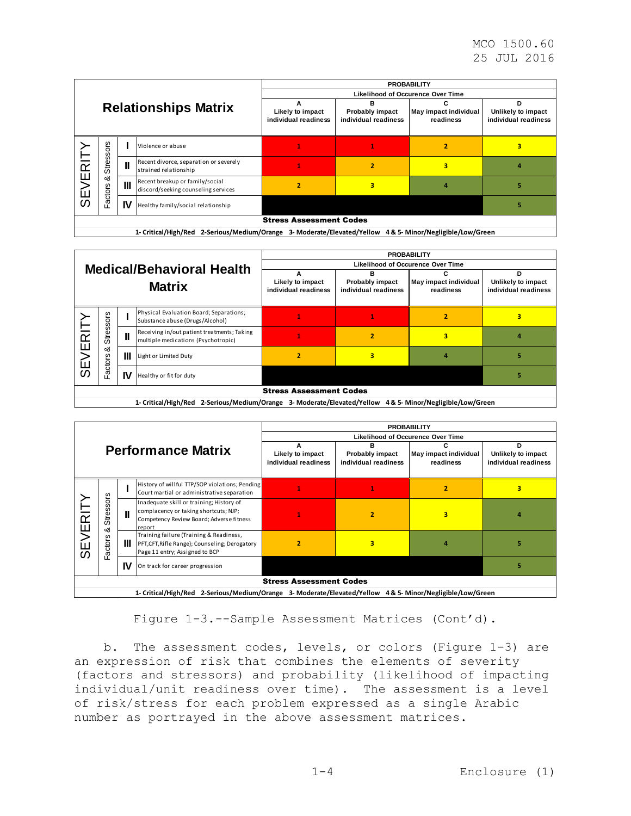|                             |                                |                |                                                                        | <b>PROBABILITY</b>                       |                                              |                                    |                                            |  |  |
|-----------------------------|--------------------------------|----------------|------------------------------------------------------------------------|------------------------------------------|----------------------------------------------|------------------------------------|--------------------------------------------|--|--|
|                             |                                |                |                                                                        |                                          | <b>Likelihood of Occurence Over Time</b>     |                                    |                                            |  |  |
| <b>Relationships Matrix</b> |                                |                |                                                                        | Likely to impact<br>individual readiness | в<br>Probably impact<br>individual readiness | May impact individual<br>readiness | Unlikely to impact<br>individual readiness |  |  |
|                             | <b>SJO</b><br>ø                |                | Violence or abuse                                                      |                                          |                                              |                                    |                                            |  |  |
| SEVERIT                     | s<br>Stre                      | $\mathbf{I}$   | Recent divorce, separation or severely<br>strained relationship        |                                          |                                              | 3                                  |                                            |  |  |
|                             | య<br>ctors                     | $\mathbf{III}$ | Recent breakup or family/social<br>discord/seeking counseling services |                                          | 3                                            |                                    |                                            |  |  |
|                             | σ                              | IV             | Healthy family/social relationship                                     |                                          |                                              |                                    |                                            |  |  |
|                             | <b>Stress Assessment Codes</b> |                |                                                                        |                                          |                                              |                                    |                                            |  |  |

**1- Critical/High/Red 2-Serious/Medium/Orange 3- Moderate/Elevated/Yellow 4 & 5- Minor/Negligible/Low/Green**

| <b>Medical/Behavioral Health</b><br><b>Matrix</b> |                                | <b>PROBABILITY</b>                            |                                                                                    |                                         |                                                 |                                                              |   |  |
|---------------------------------------------------|--------------------------------|-----------------------------------------------|------------------------------------------------------------------------------------|-----------------------------------------|-------------------------------------------------|--------------------------------------------------------------|---|--|
|                                                   |                                | <b>Likelihood of Occurence Over Time</b>      |                                                                                    |                                         |                                                 |                                                              |   |  |
|                                                   |                                | А<br>Likely to impact<br>individual readiness | в<br><b>Probably impact</b><br>individual readiness                                | С<br>May impact individual<br>readiness | D<br>Unlikely to impact<br>individual readiness |                                                              |   |  |
|                                                   | SSOIS                          |                                               | Physical Evaluation Board; Separations;<br>Substance abuse (Drugs/Alcohol)         |                                         |                                                 | $\overline{2}$                                               | 3 |  |
| $\frac{1}{2}$                                     | Strei                          | $\mathbf{I}$                                  | Receiving in/out patient treatments; Taking<br>multiple medications (Psychotropic) |                                         | 2                                               | 3                                                            |   |  |
| Ш<br><b>NES</b>                                   | య<br>actors                    | Ш                                             | Light or Limited Duty                                                              |                                         | 3                                               |                                                              |   |  |
|                                                   |                                | IV                                            | Healthy or fit for duty                                                            |                                         |                                                 |                                                              |   |  |
|                                                   | <b>Stress Assessment Codes</b> |                                               |                                                                                    |                                         |                                                 |                                                              |   |  |
|                                                   |                                |                                               | 1- Critical/High/Red<br>2-Serious/Medium/Orange                                    |                                         |                                                 | 3- Moderate/Elevated/Yellow 4& 5- Minor/Negligible/Low/Green |   |  |

|         |                                                                                                              | <b>PROBABILITY</b> |                                                                                                                                         |                                               |                                              |                                         |                                                 |  |
|---------|--------------------------------------------------------------------------------------------------------------|--------------------|-----------------------------------------------------------------------------------------------------------------------------------------|-----------------------------------------------|----------------------------------------------|-----------------------------------------|-------------------------------------------------|--|
|         |                                                                                                              |                    |                                                                                                                                         | <b>Likelihood of Occurence Over Time</b>      |                                              |                                         |                                                 |  |
|         | <b>Performance Matrix</b>                                                                                    |                    |                                                                                                                                         | А<br>Likely to impact<br>individual readiness | в<br>Probably impact<br>individual readiness | с<br>May impact individual<br>readiness | D<br>Unlikely to impact<br>individual readiness |  |
|         |                                                                                                              |                    | History of willful TTP/SOP violations; Pending<br>Court martial or administrative separation                                            |                                               |                                              | 2                                       | 3                                               |  |
|         | <b>Stressors</b><br>∞ర                                                                                       | Ш                  | Inadequate skill or training; History of<br>complacency or taking shortcuts; NJP;<br>Competency Review Board; Adverse fitness<br>report |                                               | 2                                            | 3                                       |                                                 |  |
| SEVERIT | actors<br>L.                                                                                                 | Ш                  | Training failure (Training & Readiness,<br>PFT, CFT, Rifle Range); Counseling; Derogatory<br>Page 11 entry; Assigned to BCP             | 2                                             | 3                                            |                                         |                                                 |  |
|         |                                                                                                              | IV                 | On track for career progression                                                                                                         |                                               |                                              |                                         |                                                 |  |
|         | <b>Stress Assessment Codes</b>                                                                               |                    |                                                                                                                                         |                                               |                                              |                                         |                                                 |  |
|         | 1- Critical/High/Red 2-Serious/Medium/Orange<br>3- Moderate/Elevated/Yellow 4& 5- Minor/Negligible/Low/Green |                    |                                                                                                                                         |                                               |                                              |                                         |                                                 |  |

Figure 1-3.--Sample Assessment Matrices (Cont'd).

 b. The assessment codes, levels, or colors (Figure 1-3) are an expression of risk that combines the elements of severity (factors and stressors) and probability (likelihood of impacting individual/unit readiness over time). The assessment is a level of risk/stress for each problem expressed as a single Arabic number as portrayed in the above assessment matrices.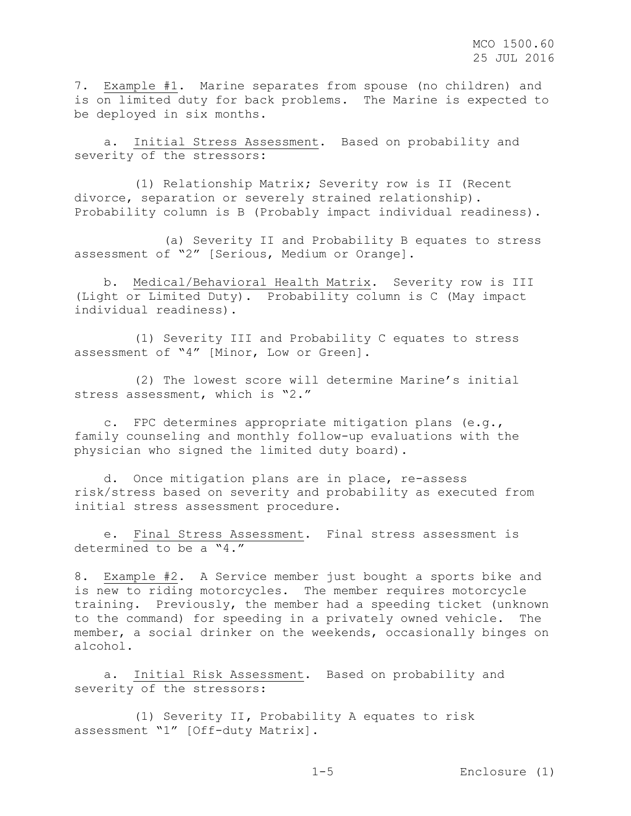7. Example #1**.** Marine separates from spouse (no children) and is on limited duty for back problems. The Marine is expected to be deployed in six months.

 a. Initial Stress Assessment. Based on probability and severity of the stressors**:**

 (1) Relationship Matrix**;** Severity row is II (Recent divorce, separation or severely strained relationship). Probability column is B (Probably impact individual readiness).

 (a) Severity II and Probability B equates to stress assessment of "2" [Serious, Medium or Orange].

 b. Medical/Behavioral Health Matrix. Severity row is III (Light or Limited Duty). Probability column is C (May impact individual readiness).

 (1) Severity III and Probability C equates to stress assessment of "4" [Minor, Low or Green].

 (2) The lowest score will determine Marine's initial stress assessment, which is "2."

 c. FPC determines appropriate mitigation plans (e.g., family counseling and monthly follow-up evaluations with the physician who signed the limited duty board).

 d. Once mitigation plans are in place, re-assess risk/stress based on severity and probability as executed from initial stress assessment procedure.

 e. Final Stress Assessment. Final stress assessment is determined to be a "4."

8. Example #2. A Service member just bought a sports bike and is new to riding motorcycles. The member requires motorcycle training. Previously, the member had a speeding ticket (unknown to the command) for speeding in a privately owned vehicle. The member, a social drinker on the weekends, occasionally binges on alcohol.

 a. Initial Risk Assessment. Based on probability and severity of the stressors:

 (1) Severity II**,** Probability A equates to risk assessment "1" [Off-duty Matrix].